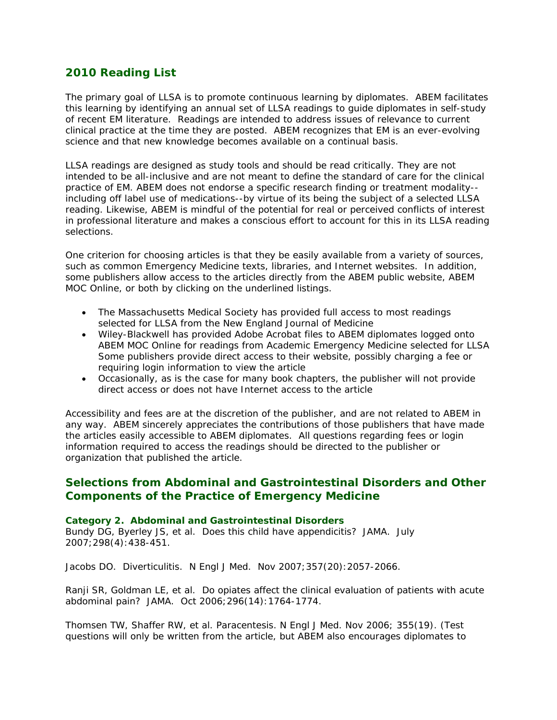# **2010 Reading List**

The primary goal of LLSA is to promote continuous learning by diplomates. ABEM facilitates this learning by identifying an annual set of LLSA readings to guide diplomates in self-study of recent EM literature. Readings are intended to address issues of relevance to current clinical practice at the time they are posted. ABEM recognizes that EM is an ever-evolving science and that new knowledge becomes available on a continual basis.

LLSA readings are designed as study tools and should be read critically. They are not intended to be all-inclusive and are not meant to define the standard of care for the clinical practice of EM. ABEM does not endorse a specific research finding or treatment modality- including off label use of medications--by virtue of its being the subject of a selected LLSA reading. Likewise, ABEM is mindful of the potential for real or perceived conflicts of interest in professional literature and makes a conscious effort to account for this in its LLSA reading selections.

One criterion for choosing articles is that they be easily available from a variety of sources, such as common Emergency Medicine texts, libraries, and Internet websites. In addition, some publishers allow access to the articles directly from the ABEM public website, ABEM MOC Online, or both by clicking on the underlined listings.

- The Massachusetts Medical Society has provided full access to most readings selected for LLSA from the *New England Journal of Medicine*
- Wiley-Blackwell has provided Adobe Acrobat files to ABEM diplomates logged onto ABEM MOC Online for readings from *Academic Emergency Medicine* selected for LLSA Some publishers provide direct access to their website, possibly charging a fee or requiring login information to view the article
- Occasionally, as is the case for many book chapters, the publisher will not provide direct access or does not have Internet access to the article

Accessibility and fees are at the discretion of the publisher, and are not related to ABEM in any way. ABEM sincerely appreciates the contributions of those publishers that have made the articles easily accessible to ABEM diplomates. All questions regarding fees or login information required to access the readings should be directed to the publisher or organization that published the article.

# **Selections from Abdominal and Gastrointestinal Disorders and Other Components of the Practice of Emergency Medicine**

### *Category 2. Abdominal and Gastrointestinal Disorders*

Bundy DG, Byerley JS, et al. Does this child have appendicitis? *JAMA*. July 2007;298(4):438-451.

Jacobs DO. Diverticulitis. N Engl J Med. Nov 2007;357(20):2057-2066.

Ranji SR, Goldman LE, et al. Do opiates affect the clinical evaluation of patients with acute abdominal pain? *JAMA*. Oct 2006;296(14):1764-1774.

Thomsen TW, Shaffer RW, et al. Paracentesis. *N Engl J Med*. Nov 2006; 355(19). (Test questions will only be written from the article, but ABEM also encourages diplomates to